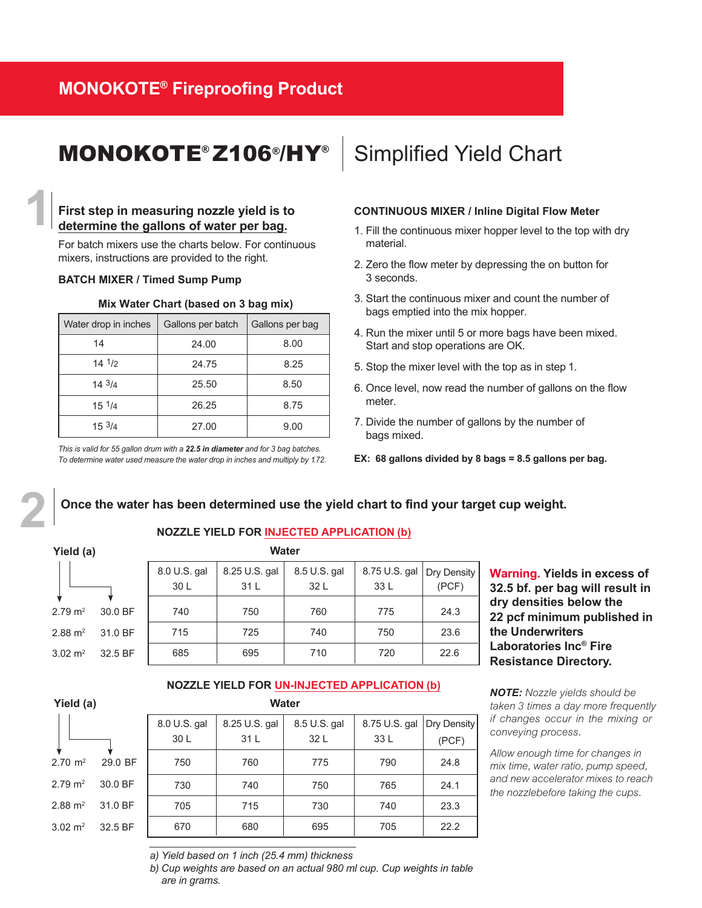### **MONOKOTE® Fireproofing Product**

## MONOKOTE<sup>®</sup> Z106<sup>®</sup>/HY<sup>®</sup> Simplified Yield Chart

### **First step in measuring nozzle yield is to determine the gallons of water per bag.**

For batch mixers use the charts below. For continuous mixers, instructions are provided to the right.

### **BATCH MIXER / Timed Sump Pump**

| Mix Water Chart (based on 3 bag mix) |                   |                 |  |
|--------------------------------------|-------------------|-----------------|--|
| Water drop in inches                 | Gallons per batch | Gallons per bag |  |
| 14                                   | 24.00             | 8.00            |  |
| 141/2                                | 24.75             | 8.25            |  |
| 143/4                                | 25.50             | 8.50            |  |
| $15 \frac{1}{4}$                     | 26.25             | 8.75            |  |
| 153/4                                | 27.00             | 9.00            |  |

*This is valid for 55 gallon drum with a 22.5 in diameter and for 3 bag batches. To determine water used measure the water drop in inches and multiply by 1.72.*

### **CONTINUOUS MIXER / Inline Digital Flow Meter**

- 1. Fill the continuous mixer hopper level to the top with dry material.
- 2. Zero the flow meter by depressing the on button for 3 seconds.
- . Start the continuous mixer and count the number of bags emptied into the mix hopper.
- 4. Run the mixer until 5 or more bags have been mixed. Start and stop operations are OK.
- 5. Stop the mixer level with the top as in step 1.
- 6. Once level, now read the number of gallons on the flow meter.
- 7. Divide the number of gallons by the number of bags mixed.
- **EX: 68 gallons divided by 8 bags = 8.5 gallons per bag.**

### **2 Once the water has been determined use the yield chart to find <sup>y</sup>our target cup weight.**

### **Yield (a)**

**1**

#### **Water NOZZLE YIELD FOR INJECTED APPLICATION (b)**

|         | 8.0 U.S. gal | 8.25 U.S. gal | 8.5 U.S. gal | 8.75 U.S. gal               | Dry Density |
|---------|--------------|---------------|--------------|-----------------------------|-------------|
|         | 30 L         | 31 L          | 32 L         | 33 L                        | (PCF)       |
|         |              |               |              |                             |             |
|         |              |               |              |                             | 24.3        |
| 31.0 BF | 715          | 725           | 740          | 750                         | 23.6        |
| 32.5 BF | 685          | 695           | 710          | 720                         | 22.6        |
|         | 30.0 BF      | 740           | 750          | <b><i>v</i>vater</b><br>760 | 775         |

**Warning. Yields in excess of 32.5 bf. per bag will result in dry densities below the 22 pcf minimum published in the Underwriters Laboratories Inc® Fire Resistance Directory.**

*NOTE: Nozzle yields should be taken 3 times a day more frequently if changes occur in the mixing or conveying process.*

*Allow enough time for changes in mix time, water ratio, pump speed, and new accelerator mixes to reach the nozzlebefore taking the cups.* 

| Yield (a)          |         | <b>Water</b> |               |              |               |             |
|--------------------|---------|--------------|---------------|--------------|---------------|-------------|
|                    |         | 8.0 U.S. gal | 8.25 U.S. gal | 8.5 U.S. gal | 8.75 U.S. gal | Dry Density |
|                    |         | 30 L         | 31L           | 32 L         | 33 L          | (PCF)       |
| $2.70 \text{ m}^2$ | 29.0 BF | 750          | 760           | 775          | 790           | 24.8        |
| $2.79 \text{ m}^2$ | 30.0 BF | 730          | 740           | 750          | 765           | 24.1        |
| $2.88 \text{ m}^2$ | 31.0 BF | 705          | 715           | 730          | 740           | 23.3        |
| $3.02 \text{ m}^2$ | 32.5 BF | 670          | 680           | 695          | 705           | 22.2        |
|                    |         |              |               |              |               |             |

**NOZZLE YIELD FOR UN-INJECTED APPLICATION (b)**

a) Yield based on 1 inch (25.4 mm) thickness

b) Cup weights are based on an actual 980 ml cup. Cup weights in table are in grams.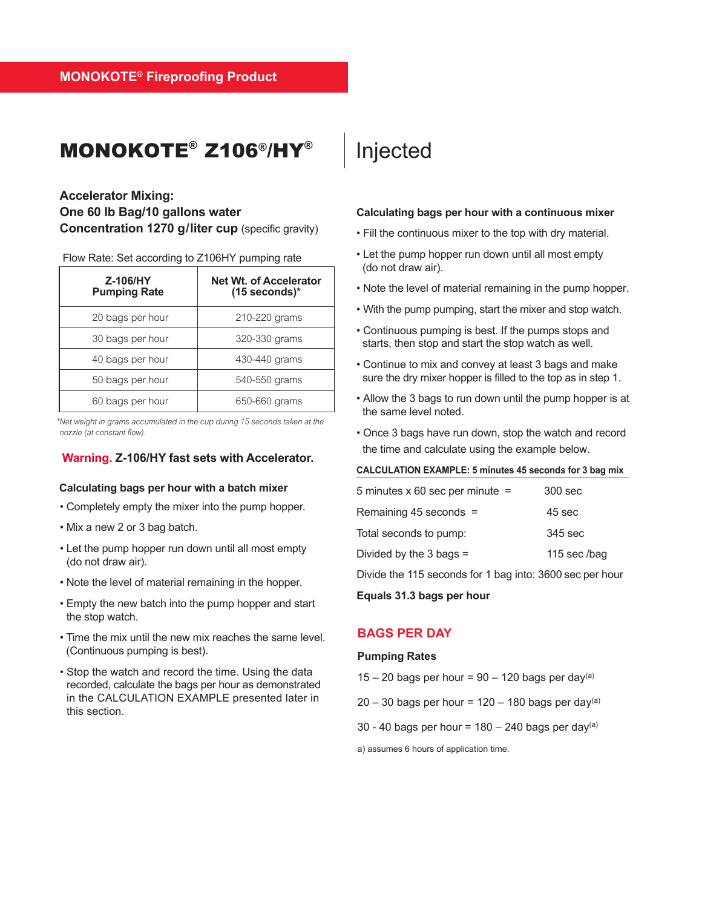### MONOKOTE® Z106®/HY®

### **Accelerator Mixing: One 60 lb Bag/10 gallons water Concentration 1270 g/liter cup** (specific gravity)

Flow Rate: Set according to Z106HY pumping rate

| Z-106/HY<br><b>Pumping Rate</b> | <b>Net Wt. of Accelerator</b><br>$(15$ seconds)* |
|---------------------------------|--------------------------------------------------|
| 20 bags per hour                | 210-220 grams                                    |
| 30 bags per hour                | 320-330 grams                                    |
| 40 bags per hour                | 430-440 grams                                    |
| 50 bags per hour                | 540-550 grams                                    |
| 60 bags per hour                | 650-660 grams                                    |

*\* Net weight in grams accumulated in the cup during 15 seconds taken at the nozzle (at constant flow).*

### **Warning. Z-106/HY fast sets with Accelerator.**

### **Calculating bags per hour with a batch mixer**

- Completely empty the mixer into the pump hopper.
- Mix a new 2 or 3 bag batch.
- Let the pump hopper run down until all most empty (do not draw air).
- Note the level of material remaining in the hopper.
- Empty the new batch into the pump hopper and start the stop watch.
- Time the mix until the new mix reaches the same level. (Continuous pumping is best).
- Stop the watch and record the time. Using the data recorded, calculate the bags per hour as demonstrated in the CALCULATION EXAMPLE presented later in this section.

### Injected

#### **Calculating bags per hour with a continuous mixer**

- Fill the continuous mixer to the top with dry material.
- Let the pump hopper run down until all most empty (do not draw air).
- Note the level of material remaining in the pump hopper.
- With the pump pumping, start the mixer and stop watch.
- Continuous pumping is best. If the pumps stops and starts, then stop and start the stop watch as well.
- Continue to mix and convey at least 3 bags and make sure the dry mixer hopper is filled to the top as in step 1.
- Allow the 3 bags to run down until the pump hopper is at the same level noted.
- Once 3 bags have run down, stop the watch and record the time and calculate using the example below.

#### **CALCULATION EXAMPLE: 5 minutes 45 seconds for 3 bag mix**

| 5 minutes $\times$ 60 sec per minute = | 300 sec      |
|----------------------------------------|--------------|
| Remaining 45 seconds =                 | 45 sec       |
| Total seconds to pump:                 | 345 sec      |
| Divided by the $3$ bags =              | 115 sec /bag |
|                                        |              |

Divide the 115 seconds for 1 bag into: 3600 sec per hour

**Equals 31.3 bags per hour** 

### **BAGS PER DAY**

#### **Pumping Rates**

- $15 20$  bags per hour = 90 120 bags per day(a)
- $20 30$  bags per hour = 120 180 bags per day(a)
- 30 40 bags per hour =  $180 240$  bags per day(a)

a) assumes 6 hours of application time.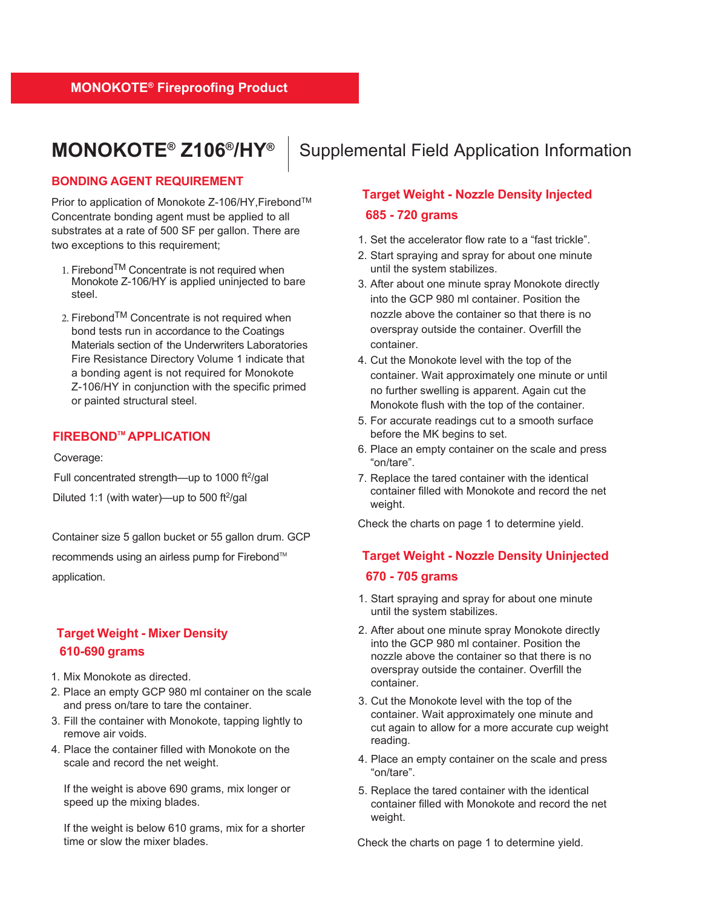### **MONOKOTE® Z106®/HY®**

Supplemental Field Application Information

### **BONDING AGENT REQUIREMENT**

Prior to application of Monokote Z-106/HY, Firebond™ Concentrate bonding agent must be applied to all substrates at a rate of 500 SF per gallon. There are two exceptions to this requirement;

- 1. Firebond $TM$  Concentrate is not required when Monokote Z-106/HY is applied uninjected to bare steel.
- 2. Firebond<sup>TM</sup> Concentrate is not required when bond tests run in accordance to the Coatings Materials section of the Underwriters Laboratories Fire Resistance Directory Volume 1 indicate that a bonding agent is not required for Monokote Z-106/HY in conjunction with the specific primed or painted structural steel.

### **FIREBONDTM APPLICATION**

Coverage:

Full concentrated strength-up to 1000 ft<sup>2</sup>/gal Diluted 1:1 (with water)—up to 500 ft $2$ /gal

Container size 5 gallon bucket or 55 gallon drum. GCP recommends using an airless pump for Firebond™ application.

### **Target Weight - Mixer Density 610-690 grams**

- 1. Mix Monokote as directed.
- 2. Place an empty GCP 980 ml container on the scale and press on/tare to tare the container.
- 3. Fill the container with Monokote, tapping lightly to remove air voids.
- 4. Place the container filled with Monokote on the scale and record the net weight.

If the weight is above 690 grams, mix longer or speed up the mixing blades.

If the weight is below 610 grams, mix for a shorter time or slow the mixer blades.

### **Target Weight - Nozzle Density Injected 685 - 720 grams**

- 1. Set the accelerator flow rate to a "fast trickle".
- 2. Start spraying and spray for about one minute until the system stabilizes.
- 3. After about one minute spray Monokote directly into the GCP 980 ml container. Position the nozzle above the container so that there is no overspray outside the container. Overfill the container.
- 4. Cut the Monokote level with the top of the container. Wait approximately one minute or until no further swelling is apparent. Again cut the Monokote flush with the top of the container.
- 5. For accurate readings cut to a smooth surface before the MK begins to set.
- 6. Place an empty container on the scale and press "on/tare".
- 7. Replace the tared container with the identical container filled with Monokote and record the net weight.

Check the charts on page 1 to determine yield.

### **Target Weight - Nozzle Density Uninjected 6 - 7 grams**

- 1. Start spraying and spray for about one minute until the system stabilizes.
- 2. After about one minute spray Monokote directly into the GCP 980 ml container. Position the nozzle above the container so that there is no overspray outside the container. Overfill the container.
- 3. Cut the Monokote level with the top of the container. Wait approximately one minute and cut again to allow for a more accurate cup weight reading.
- 4. Place an empty container on the scale and press "on/tare".
- 5. Replace the tared container with the identical container filled with Monokote and record the net weight.

Check the charts on page 1 to determine yield.